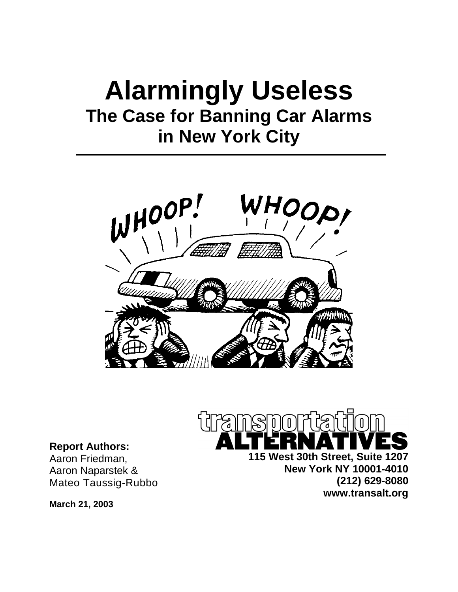# **Alarmingly Useless The Case for Banning Car Alarms in New York City**





**115 West 30th Street, Suite 1207 New York NY 10001-4010 (212) 629-8080 www.transalt.org**

**Report Authors:**  Aaron Friedman, Aaron Naparstek & Mateo Taussig-Rubbo

**March 21, 2003**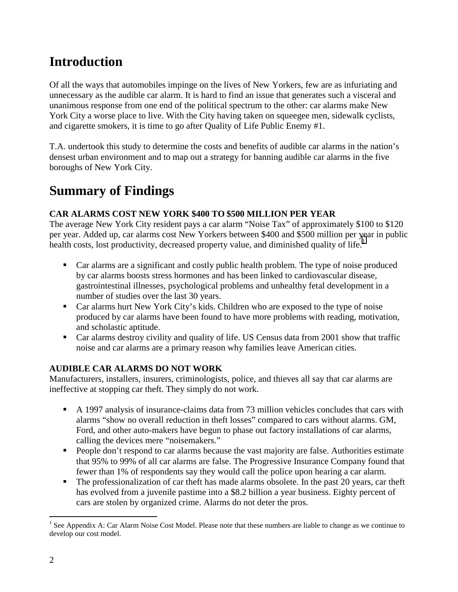# **Introduction**

Of all the ways that automobiles impinge on the lives of New Yorkers, few are as infuriating and unnecessary as the audible car alarm. It is hard to find an issue that generates such a visceral and unanimous response from one end of the political spectrum to the other: car alarms make New York City a worse place to live. With the City having taken on squeegee men, sidewalk cyclists, and cigarette smokers, it is time to go after Quality of Life Public Enemy #1.

T.A. undertook this study to determine the costs and benefits of audible car alarms in the nation's densest urban environment and to map out a strategy for banning audible car alarms in the five boroughs of New York City.

# **Summary of Findings**

### **CAR ALARMS COST NEW YORK \$400 TO \$500 MILLION PER YEAR**

The average New York City resident pays a car alarm "Noise Tax" of approximately \$100 to \$120 per year. Added up, car alarms cost New Yorkers between \$400 and \$500 million per year in public health costs, lost productivity, decreased property value, and diminished quality of life.<sup>1</sup>

- ! Car alarms are a significant and costly public health problem. The type of noise produced by car alarms boosts stress hormones and has been linked to cardiovascular disease, gastrointestinal illnesses, psychological problems and unhealthy fetal development in a number of studies over the last 30 years.
- ! Car alarms hurt New York City's kids. Children who are exposed to the type of noise produced by car alarms have been found to have more problems with reading, motivation, and scholastic aptitude.
- ! Car alarms destroy civility and quality of life. US Census data from 2001 show that traffic noise and car alarms are a primary reason why families leave American cities.

### **AUDIBLE CAR ALARMS DO NOT WORK**

Manufacturers, installers, insurers, criminologists, police, and thieves all say that car alarms are ineffective at stopping car theft. They simply do not work.

- ! A 1997 analysis of insurance-claims data from 73 million vehicles concludes that cars with alarms "show no overall reduction in theft losses" compared to cars without alarms. GM, Ford, and other auto-makers have begun to phase out factory installations of car alarms, calling the devices mere "noisemakers."
- ! People don't respond to car alarms because the vast majority are false. Authorities estimate that 95% to 99% of all car alarms are false. The Progressive Insurance Company found that fewer than 1% of respondents say they would call the police upon hearing a car alarm.
- ! The professionalization of car theft has made alarms obsolete. In the past 20 years, car theft has evolved from a juvenile pastime into a \$8.2 billion a year business. Eighty percent of cars are stolen by organized crime. Alarms do not deter the pros.

 $\overline{a}$ <sup>1</sup> See Appendix A: Car Alarm Noise Cost Model. Please note that these numbers are liable to change as we continue to develop our cost model.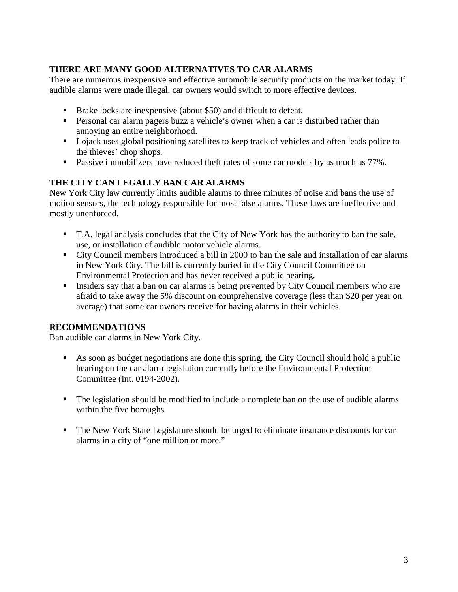### **THERE ARE MANY GOOD ALTERNATIVES TO CAR ALARMS**

There are numerous inexpensive and effective automobile security products on the market today. If audible alarms were made illegal, car owners would switch to more effective devices.

- ! Brake locks are inexpensive (about \$50) and difficult to defeat.
- ! Personal car alarm pagers buzz a vehicle's owner when a car is disturbed rather than annoying an entire neighborhood.
- ! Lojack uses global positioning satellites to keep track of vehicles and often leads police to the thieves' chop shops.
- **Passive immobilizers have reduced theft rates of some car models by as much as 77%.**

### **THE CITY CAN LEGALLY BAN CAR ALARMS**

New York City law currently limits audible alarms to three minutes of noise and bans the use of motion sensors, the technology responsible for most false alarms. These laws are ineffective and mostly unenforced.

- ! T.A. legal analysis concludes that the City of New York has the authority to ban the sale, use, or installation of audible motor vehicle alarms.
- ! City Council members introduced a bill in 2000 to ban the sale and installation of car alarms in New York City. The bill is currently buried in the City Council Committee on Environmental Protection and has never received a public hearing.
- ! Insiders say that a ban on car alarms is being prevented by City Council members who are afraid to take away the 5% discount on comprehensive coverage (less than \$20 per year on average) that some car owners receive for having alarms in their vehicles.

#### **RECOMMENDATIONS**

Ban audible car alarms in New York City.

- ! As soon as budget negotiations are done this spring, the City Council should hold a public hearing on the car alarm legislation currently before the Environmental Protection Committee (Int. 0194-2002).
- ! The legislation should be modified to include a complete ban on the use of audible alarms within the five boroughs.
- ! The New York State Legislature should be urged to eliminate insurance discounts for car alarms in a city of "one million or more."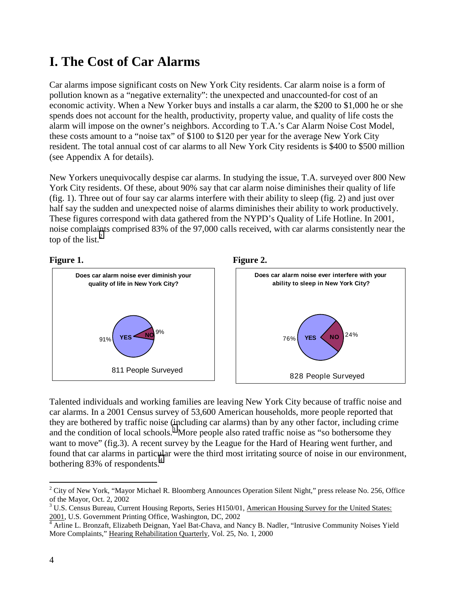# **I. The Cost of Car Alarms**

Car alarms impose significant costs on New York City residents. Car alarm noise is a form of pollution known as a "negative externality": the unexpected and unaccounted-for cost of an economic activity. When a New Yorker buys and installs a car alarm, the \$200 to \$1,000 he or she spends does not account for the health, productivity, property value, and quality of life costs the alarm will impose on the owner's neighbors. According to T.A.'s Car Alarm Noise Cost Model, these costs amount to a "noise tax" of \$100 to \$120 per year for the average New York City resident. The total annual cost of car alarms to all New York City residents is \$400 to \$500 million (see Appendix A for details).

New Yorkers unequivocally despise car alarms. In studying the issue, T.A. surveyed over 800 New York City residents. Of these, about 90% say that car alarm noise diminishes their quality of life (fig. 1). Three out of four say car alarms interfere with their ability to sleep (fig. 2) and just over half say the sudden and unexpected noise of alarms diminishes their ability to work productively. These figures correspond with data gathered from the NYPD's Quality of Life Hotline. In 2001, noise complaints comprised 83% of the 97,000 calls received, with car alarms consistently near the top of the list. $^{2}$ 

**Figure 2.** 





Talented individuals and working families are leaving New York City because of traffic noise and car alarms. In a 2001 Census survey of 53,600 American households, more people reported that they are bothered by traffic noise (including car alarms) than by any other factor, including crime and the condition of local schools.<sup>3</sup> More people also rated traffic noise as "so bothersome they want to move" (fig.3). A recent survey by the League for the Hard of Hearing went further, and found that car alarms in particular were the third most irritating source of noise in our environment, bothering 83% of respondents.<sup>4</sup>

<sup>&</sup>lt;u>.</u>  $2^2$  City of New York, "Mayor Michael R. Bloomberg Announces Operation Silent Night," press release No. 256, Office of the Mayor, Oct. 2, 2002

<sup>&</sup>lt;sup>3</sup> U.S. Census Bureau, Current Housing Reports, Series H150/01, American Housing Survey for the United States:  $\frac{2001}{4}$ , U.S. Government Printing Office, Washington, DC, 2002

Arline L. Bronzaft, Elizabeth Deignan, Yael Bat-Chava, and Nancy B. Nadler, "Intrusive Community Noises Yield More Complaints," Hearing Rehabilitation Quarterly, Vol. 25, No. 1, 2000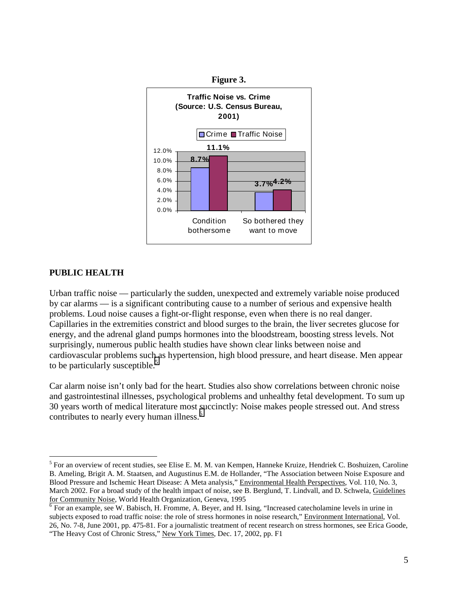



#### **PUBLIC HEALTH**

 $\overline{a}$ 

Urban traffic noise — particularly the sudden, unexpected and extremely variable noise produced by car alarms — is a significant contributing cause to a number of serious and expensive health problems. Loud noise causes a fight-or-flight response, even when there is no real danger. Capillaries in the extremities constrict and blood surges to the brain, the liver secretes glucose for energy, and the adrenal gland pumps hormones into the bloodstream, boosting stress levels. Not surprisingly, numerous public health studies have shown clear links between noise and cardiovascular problems such as hypertension, high blood pressure, and heart disease. Men appear to be particularly susceptible.<sup>5</sup>

Car alarm noise isn't only bad for the heart. Studies also show correlations between chronic noise and gastrointestinal illnesses, psychological problems and unhealthy fetal development. To sum up 30 years worth of medical literature most succinctly: Noise makes people stressed out. And stress contributes to nearly every human illness.<sup>6</sup>

<sup>&</sup>lt;sup>5</sup> For an overview of recent studies, see Elise E. M. M. van Kempen, Hanneke Kruize, Hendriek C. Boshuizen, Caroline B. Ameling, Brigit A. M. Staatsen, and Augustinus E.M. de Hollander, "The Association between Noise Exposure and Blood Pressure and Ischemic Heart Disease: A Meta analysis," Environmental Health Perspectives, Vol. 110, No. 3, March 2002. For a broad study of the health impact of noise, see B. Berglund, T. Lindvall, and D. Schwela, Guidelines for Community Noise, World Health Organization, Geneva, 1995<br>
<sup>6</sup> For an example, see W. Babisch, H. Fromme, A. Beyer, and H. Ising, "Increased catecholamine levels in urine in

subjects exposed to road traffic noise: the role of stress hormones in noise research," Environment International, Vol. 26, No. 7-8, June 2001, pp. 475-81. For a journalistic treatment of recent research on stress hormones, see Erica Goode, "The Heavy Cost of Chronic Stress," New York Times, Dec. 17, 2002, pp. F1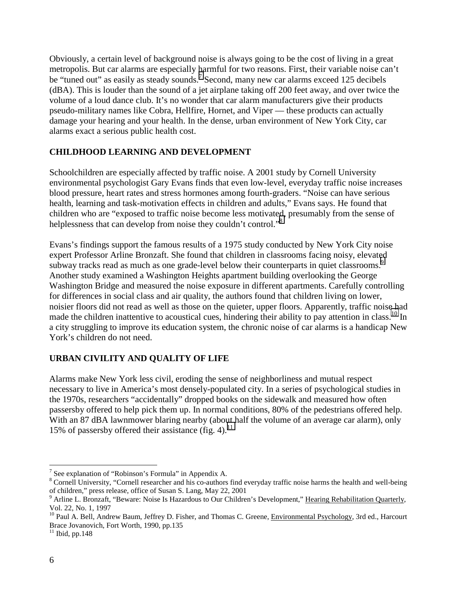Obviously, a certain level of background noise is always going to be the cost of living in a great metropolis. But car alarms are especially harmful for two reasons. First, their variable noise can't be "tuned out" as easily as steady sounds.<sup>7</sup> Second, many new car alarms exceed 125 decibels (dBA). This is louder than the sound of a jet airplane taking off 200 feet away, and over twice the volume of a loud dance club. It's no wonder that car alarm manufacturers give their products pseudo-military names like Cobra, Hellfire, Hornet, and Viper — these products can actually damage your hearing and your health. In the dense, urban environment of New York City, car alarms exact a serious public health cost.

#### **CHILDHOOD LEARNING AND DEVELOPMENT**

Schoolchildren are especially affected by traffic noise. A 2001 study by Cornell University environmental psychologist Gary Evans finds that even low-level, everyday traffic noise increases blood pressure, heart rates and stress hormones among fourth-graders. "Noise can have serious health, learning and task-motivation effects in children and adults," Evans says. He found that children who are "exposed to traffic noise become less motivated, presumably from the sense of helplessness that can develop from noise they couldn't control."<sup>8</sup>

Evans's findings support the famous results of a 1975 study conducted by New York City noise expert Professor Arline Bronzaft. She found that children in classrooms facing noisy, elevated subway tracks read as much as one grade-level below their counterparts in quiet classrooms.<sup>9</sup> Another study examined a Washington Heights apartment building overlooking the George Washington Bridge and measured the noise exposure in different apartments. Carefully controlling for differences in social class and air quality, the authors found that children living on lower, noisier floors did not read as well as those on the quieter, upper floors. Apparently, traffic noise had made the children inattentive to acoustical cues, hindering their ability to pay attention in class.<sup>10</sup> In a city struggling to improve its education system, the chronic noise of car alarms is a handicap New York's children do not need.

#### **URBAN CIVILITY AND QUALITY OF LIFE**

Alarms make New York less civil, eroding the sense of neighborliness and mutual respect necessary to live in America's most densely-populated city. In a series of psychological studies in the 1970s, researchers "accidentally" dropped books on the sidewalk and measured how often passersby offered to help pick them up. In normal conditions, 80% of the pedestrians offered help. With an 87 dBA lawnmower blaring nearby (about half the volume of an average car alarm), only 15% of passersby offered their assistance (fig. 4).<sup>11</sup>

 $\overline{a}$ 

<sup>&</sup>lt;sup>7</sup> See explanation of "Robinson's Formula" in Appendix A.

<sup>&</sup>lt;sup>8</sup> Cornell University, "Cornell researcher and his co-authors find everyday traffic noise harms the health and well-being of children," press release, office of Susan S. Lang, May 22, 2001

<sup>&</sup>lt;sup>9</sup> Arline L. Bronzaft, "Beware: Noise Is Hazardous to Our Children's Development," Hearing Rehabilitation Quarterly, Vol. 22, No. 1, 1997

 $10$  Paul A. Bell, Andrew Baum, Jeffrey D. Fisher, and Thomas C. Greene, Environmental Psychology, 3rd ed., Harcourt Brace Jovanovich, Fort Worth, 1990, pp.135

 $11$  Ibid, pp. 148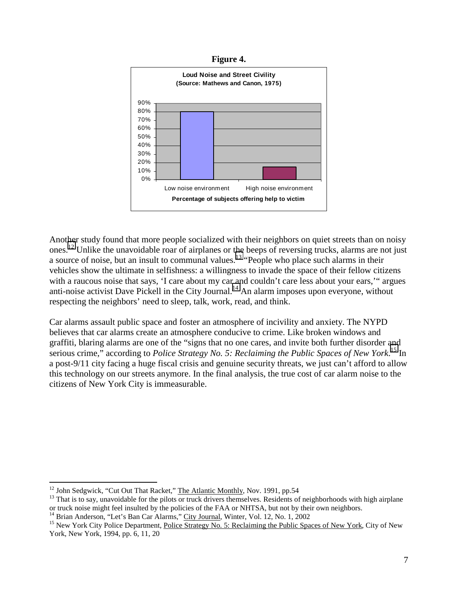**Figure 4.** 



Another study found that more people socialized with their neighbors on quiet streets than on noisy ones.<sup>12</sup> Unlike the unavoidable roar of airplanes or the beeps of reversing trucks, alarms are not just a source of noise, but an insult to communal values.13 "People who place such alarms in their vehicles show the ultimate in selfishness: a willingness to invade the space of their fellow citizens with a raucous noise that says, 'I care about my car and couldn't care less about your ears,'" argues anti-noise activist Dave Pickell in the City Journal.<sup>14</sup> An alarm imposes upon everyone, without respecting the neighbors' need to sleep, talk, work, read, and think.

Car alarms assault public space and foster an atmosphere of incivility and anxiety. The NYPD believes that car alarms create an atmosphere conducive to crime. Like broken windows and graffiti, blaring alarms are one of the "signs that no one cares, and invite both further disorder and serious crime," according to *Police Strategy No. 5: Reclaiming the Public Spaces of New York*. 15 In a post-9/11 city facing a huge fiscal crisis and genuine security threats, we just can't afford to allow this technology on our streets anymore. In the final analysis, the true cost of car alarm noise to the citizens of New York City is immeasurable.

<sup>&</sup>lt;sup>12</sup> John Sedgwick, "Cut Out That Racket," The Atlantic Monthly, Nov. 1991, pp.54

 $13$  That is to say, unavoidable for the pilots or truck drivers themselves. Residents of neighborhoods with high airplane or truck noise might feel insulted by the policies of the FAA or NHTSA, but not by their own neighbors.<br><sup>14</sup> Brian Anderson, "Let's Ban Car Alarms," City Journal, Winter, Vol. 12, No. 1, 2002

<sup>&</sup>lt;sup>15</sup> New York City Police Department, Police Strategy No. 5: Reclaiming the Public Spaces of New York, City of New York, New York, 1994, pp. 6, 11, 20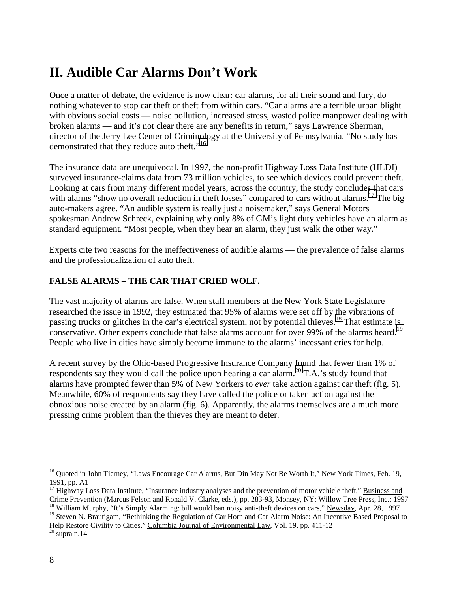# **II. Audible Car Alarms Don't Work**

Once a matter of debate, the evidence is now clear: car alarms, for all their sound and fury, do nothing whatever to stop car theft or theft from within cars. "Car alarms are a terrible urban blight with obvious social costs — noise pollution, increased stress, wasted police manpower dealing with broken alarms — and it's not clear there are any benefits in return," says Lawrence Sherman, director of the Jerry Lee Center of Criminology at the University of Pennsylvania. "No study has demonstrated that they reduce auto theft."<sup>16</sup>

The insurance data are unequivocal. In 1997, the non-profit Highway Loss Data Institute (HLDI) surveyed insurance-claims data from 73 million vehicles, to see which devices could prevent theft. Looking at cars from many different model years, across the country, the study concludes that cars with alarms "show no overall reduction in theft losses" compared to cars without alarms.<sup>17</sup> The big auto-makers agree. "An audible system is really just a noisemaker," says General Motors spokesman Andrew Schreck, explaining why only 8% of GM's light duty vehicles have an alarm as standard equipment. "Most people, when they hear an alarm, they just walk the other way."

Experts cite two reasons for the ineffectiveness of audible alarms — the prevalence of false alarms and the professionalization of auto theft.

#### **FALSE ALARMS – THE CAR THAT CRIED WOLF.**

The vast majority of alarms are false. When staff members at the New York State Legislature researched the issue in 1992, they estimated that 95% of alarms were set off by the vibrations of passing trucks or glitches in the car's electrical system, not by potential thieves.<sup>18</sup> That estimate is conservative. Other experts conclude that false alarms account for over 99% of the alarms heard.<sup>19</sup> People who live in cities have simply become immune to the alarms' incessant cries for help.

A recent survey by the Ohio-based Progressive Insurance Company found that fewer than 1% of respondents say they would call the police upon hearing a car alarm.<sup>20</sup> T.A.'s study found that alarms have prompted fewer than 5% of New Yorkers to *ever* take action against car theft (fig. 5). Meanwhile, 60% of respondents say they have called the police or taken action against the obnoxious noise created by an alarm (fig. 6). Apparently, the alarms themselves are a much more pressing crime problem than the thieves they are meant to deter.

 $\overline{a}$ <sup>16</sup> Quoted in John Tierney, "Laws Encourage Car Alarms, But Din May Not Be Worth It," New York Times, Feb. 19, 1991, pp. A1

 $17$  Highway Loss Data Institute, "Insurance industry analyses and the prevention of motor vehicle theft," Business and Crime Prevention (Marcus Felson and Ronald V. Clarke, eds.), pp. 283-93, Monsey, NY: Willow Tree Press, Inc.: 1997<br><sup>18</sup> William Murphy, "It's Simply Alarming: bill would ban noisy anti-theft devices on cars," <u>Newsday</u>, Ap

<sup>&</sup>lt;sup>19</sup> Steven N. Brautigam, "Rethinking the Regulation of Car Horn and Car Alarm Noise: An Incentive Based Proposal to Help Restore Civility to Cities," Columbia Journal of Environmental Law, Vol. 19, pp. 411-12<br><sup>20</sup> supra n.14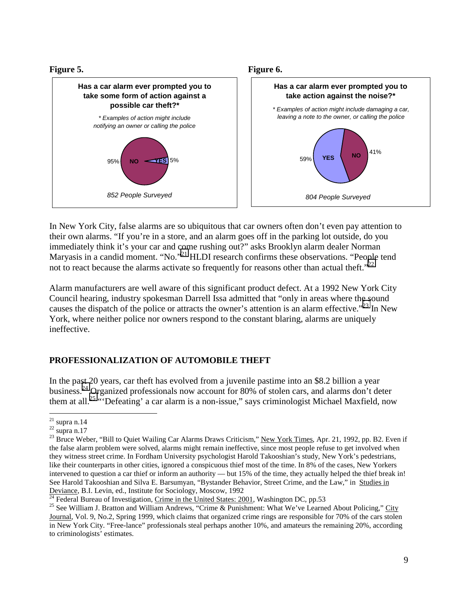**Figure 5.** 



In New York City, false alarms are so ubiquitous that car owners often don't even pay attention to their own alarms. "If you're in a store, and an alarm goes off in the parking lot outside, do you immediately think it's your car and come rushing out?" asks Brooklyn alarm dealer Norman Maryasis in a candid moment. "No."<sup>21</sup> HLDI research confirms these observations. "People tend not to react because the alarms activate so frequently for reasons other than actual theft." $^{22}$ 

Alarm manufacturers are well aware of this significant product defect. At a 1992 New York City Council hearing, industry spokesman Darrell Issa admitted that "only in areas where the sound causes the dispatch of the police or attracts the owner's attention is an alarm effective."<sup>23</sup> In New York, where neither police nor owners respond to the constant blaring, alarms are uniquely ineffective.

#### **PROFESSIONALIZATION OF AUTOMOBILE THEFT**

In the past 20 years, car theft has evolved from a juvenile pastime into an \$8.2 billion a year business.24 Organized professionals now account for 80% of stolen cars, and alarms don't deter them at all.25 "'Defeating' a car alarm is a non-issue," says criminologist Michael Maxfield, now

 $\overline{a}$ 

 $^{21}$  supra n.14

 $22$  supra n.17

<sup>&</sup>lt;sup>23</sup> Bruce Weber, "Bill to Quiet Wailing Car Alarms Draws Criticism," New York Times, Apr. 21, 1992, pp. B2. Even if the false alarm problem were solved, alarms might remain ineffective, since most people refuse to get involved when they witness street crime. In Fordham University psychologist Harold Takooshian's study, New York's pedestrians, like their counterparts in other cities, ignored a conspicuous thief most of the time. In 8% of the cases, New Yorkers intervened to question a car thief or inform an authority — but 15% of the time, they actually helped the thief break in! See Harold Takooshian and Silva E. Barsumyan, "Bystander Behavior, Street Crime, and the Law," in Studies in Deviance, B.I. Levin, ed., Institute for Sociology, Moscow, 1992<br>
<sup>24</sup> Federal Bureau of Investigation, Crime in the United States: 2001, Washington DC, pp.53<br>
<sup>25</sup> See William J. Bratton and William Andrews, "Crime & Pun

Journal, Vol. 9, No.2, Spring 1999, which claims that organized crime rings are responsible for 70% of the cars stolen in New York City. "Free-lance" professionals steal perhaps another 10%, and amateurs the remaining 20%, according to criminologists' estimates.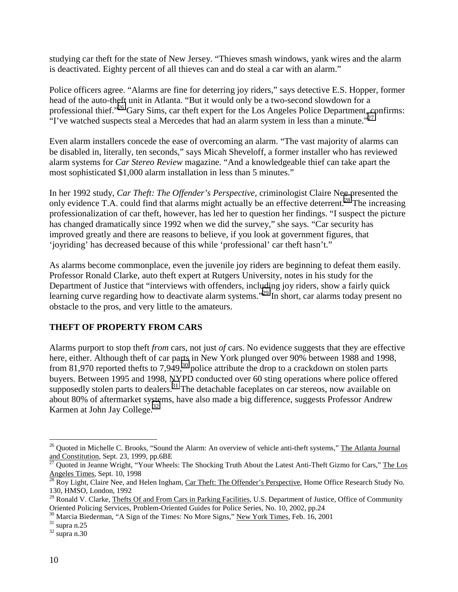studying car theft for the state of New Jersey. "Thieves smash windows, yank wires and the alarm is deactivated. Eighty percent of all thieves can and do steal a car with an alarm."

Police officers agree. "Alarms are fine for deterring joy riders," says detective E.S. Hopper, former head of the auto-theft unit in Atlanta. "But it would only be a two-second slowdown for a professional thief."26 Gary Sims, car theft expert for the Los Angeles Police Department, confirms:  $\cdot$ T've watched suspects steal a Mercedes that had an alarm system in less than a minute."<sup>27</sup>

Even alarm installers concede the ease of overcoming an alarm. "The vast majority of alarms can be disabled in, literally, ten seconds," says Micah Sheveloff, a former installer who has reviewed alarm systems for *Car Stereo Review* magazine. "And a knowledgeable thief can take apart the most sophisticated \$1,000 alarm installation in less than 5 minutes."

In her 1992 study, *Car Theft: The Offender's Perspective*, criminologist Claire Nee presented the only evidence T.A. could find that alarms might actually be an effective deterrent.<sup>28</sup> The increasing professionalization of car theft, however, has led her to question her findings. "I suspect the picture has changed dramatically since 1992 when we did the survey," she says. "Car security has improved greatly and there are reasons to believe, if you look at government figures, that 'joyriding' has decreased because of this while 'professional' car theft hasn't."

As alarms become commonplace, even the juvenile joy riders are beginning to defeat them easily. Professor Ronald Clarke, auto theft expert at Rutgers University, notes in his study for the Department of Justice that "interviews with offenders, including joy riders, show a fairly quick learning curve regarding how to deactivate alarm systems.<sup>29</sup> In short, car alarms today present no obstacle to the pros, and very little to the amateurs.

#### **THEFT OF PROPERTY FROM CARS**

Alarms purport to stop theft *from* cars, not just *of* cars. No evidence suggests that they are effective here, either. Although theft of car parts in New York plunged over 90% between 1988 and 1998, from 81,970 reported thefts to 7,949,<sup>30</sup> police attribute the drop to a crackdown on stolen parts buyers. Between 1995 and 1998, NYPD conducted over 60 sting operations where police offered supposedly stolen parts to dealers.<sup>31</sup> The detachable faceplates on car stereos, now available on about 80% of aftermarket systems, have also made a big difference, suggests Professor Andrew Karmen at John Jay College. $32$ 

 $\overline{a}$  $^{26}$  Quoted in Michelle C. Brooks, "Sound the Alarm: An overview of vehicle anti-theft systems," The Atlanta Journal and Constitution, Sept. 23, 1999, pp.6BE

Quoted in Jeanne Wright, "Your Wheels: The Shocking Truth About the Latest Anti-Theft Gizmo for Cars," The Los Angeles Times, Sept. 10, 1998<br><sup>28</sup> Roy Light, Claire Nee, and Helen Ingham, Car Theft: The Offender's Perspective, Home Office Research Study No.

<sup>130,</sup> HMSO, London, 1992

 $^{29}$  Ronald V. Clarke, Thefts Of and From Cars in Parking Facilities, U.S. Department of Justice, Office of Community Oriented Policing Services, Problem-Oriented Guides for Police Series, No. 10, 2002, pp.24

 $\frac{30}{31}$  Marcia Biederman, "A Sign of the Times: No More Signs," <u>New York Times</u>, Feb. 16, 2001 supra n.25

 $32$  supra n.30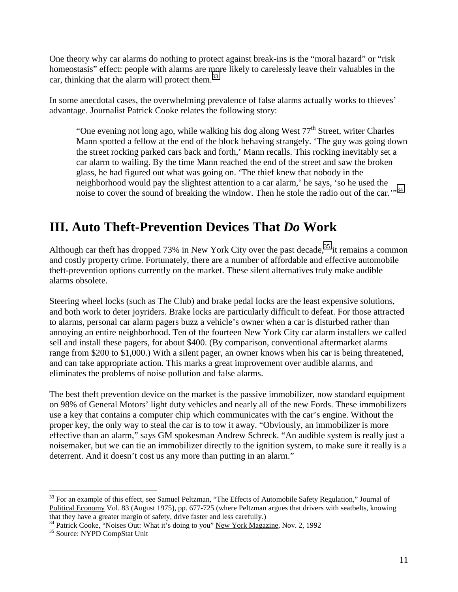One theory why car alarms do nothing to protect against break-ins is the "moral hazard" or "risk homeostasis" effect: people with alarms are more likely to carelessly leave their valuables in the car, thinking that the alarm will protect them.<sup>33</sup>

In some anecdotal cases, the overwhelming prevalence of false alarms actually works to thieves' advantage. Journalist Patrick Cooke relates the following story:

"One evening not long ago, while walking his dog along West  $77<sup>th</sup>$  Street, writer Charles Mann spotted a fellow at the end of the block behaving strangely. 'The guy was going down the street rocking parked cars back and forth,' Mann recalls. This rocking inevitably set a car alarm to wailing. By the time Mann reached the end of the street and saw the broken glass, he had figured out what was going on. 'The thief knew that nobody in the neighborhood would pay the slightest attention to a car alarm,' he says, 'so he used the noise to cover the sound of breaking the window. Then he stole the radio out of the car."<sup>34</sup>

# **III. Auto Theft-Prevention Devices That** *Do* **Work**

Although car theft has dropped 73% in New York City over the past decade,  $35$  it remains a common and costly property crime. Fortunately, there are a number of affordable and effective automobile theft-prevention options currently on the market. These silent alternatives truly make audible alarms obsolete.

Steering wheel locks (such as The Club) and brake pedal locks are the least expensive solutions, and both work to deter joyriders. Brake locks are particularly difficult to defeat. For those attracted to alarms, personal car alarm pagers buzz a vehicle's owner when a car is disturbed rather than annoying an entire neighborhood. Ten of the fourteen New York City car alarm installers we called sell and install these pagers, for about \$400. (By comparison, conventional aftermarket alarms range from \$200 to \$1,000.) With a silent pager, an owner knows when his car is being threatened, and can take appropriate action. This marks a great improvement over audible alarms, and eliminates the problems of noise pollution and false alarms.

The best theft prevention device on the market is the passive immobilizer, now standard equipment on 98% of General Motors' light duty vehicles and nearly all of the new Fords. These immobilizers use a key that contains a computer chip which communicates with the car's engine. Without the proper key, the only way to steal the car is to tow it away. "Obviously, an immobilizer is more effective than an alarm," says GM spokesman Andrew Schreck. "An audible system is really just a noisemaker, but we can tie an immobilizer directly to the ignition system, to make sure it really is a deterrent. And it doesn't cost us any more than putting in an alarm."

1

<sup>&</sup>lt;sup>33</sup> For an example of this effect, see Samuel Peltzman, "The Effects of Automobile Safety Regulation," Journal of Political Economy Vol. 83 (August 1975), pp. 677-725 (where Peltzman argues that drivers with seatbelts, knowing that they have a greater margin of safety, drive faster and less carefully.)

 $34$  Patrick Cooke, "Noises Out: What it's doing to you" New York Magazine, Nov. 2, 1992<br> $35$  Source: NYPD CompStat Unit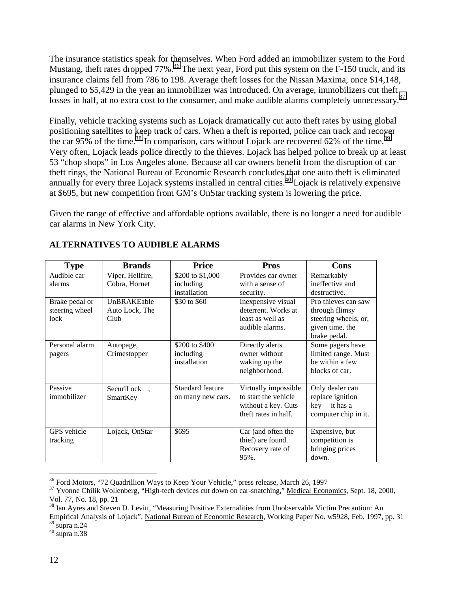The insurance statistics speak for themselves. When Ford added an immobilizer system to the Ford Mustang, theft rates dropped  $77\%$ .<sup>36</sup> The next year, Ford put this system on the F-150 truck, and its insurance claims fell from 786 to 198. Average theft losses for the Nissan Maxima, once \$14,148, plunged to \$5,429 in the year an immobilizer was introduced. On average, immobilizers cut theft losses in half, at no extra cost to the consumer, and make audible alarms completely unnecessary.<sup>37</sup>

Finally, vehicle tracking systems such as Lojack dramatically cut auto theft rates by using global positioning satellites to keep track of cars. When a theft is reported, police can track and recover the car 95% of the time.<sup>38</sup> In comparison, cars without Lojack are recovered 62% of the time.<sup>39</sup> Very often, Lojack leads police directly to the thieves. Lojack has helped police to break up at least 53 "chop shops" in Los Angeles alone. Because all car owners benefit from the disruption of car theft rings, the National Bureau of Economic Research concludes that one auto theft is eliminated annually for every three Lojack systems installed in central cities.<sup> $40$ </sup> Lojack is relatively expensive at \$695, but new competition from GM's OnStar tracking system is lowering the price.

Given the range of effective and affordable options available, there is no longer a need for audible car alarms in New York City.

| <b>Type</b>    | <b>Brands</b>         | <b>Price</b>      | <b>Pros</b>          | Cons                 |
|----------------|-----------------------|-------------------|----------------------|----------------------|
| Audible car    | Viper, Hellfire,      | \$200 to \$1,000  | Provides car owner   | Remarkably           |
| alarms         | Cobra, Hornet         | including         | with a sense of      | ineffective and      |
|                |                       | installation      | security.            | destructive.         |
| Brake pedal or | UnBRAKEable           | \$30 to \$60      | Inexpensive visual   | Pro thieves can saw  |
| steering wheel | Auto Lock, The        |                   | deterrent. Works at  | through flimsy       |
| lock           | Club                  |                   | least as well as     | steering wheels, or, |
|                |                       |                   | audible alarms.      | given time, the      |
|                |                       |                   |                      | brake pedal.         |
| Personal alarm | Autopage,             | \$200 to \$400    | Directly alerts      | Some pagers have     |
| pagers         | Crimestopper          | including         | owner without        | limited range. Must  |
|                |                       | installation      | waking up the        | be within a few      |
|                |                       |                   | neighborhood.        | blocks of car.       |
|                |                       |                   |                      |                      |
| Passive        | $SecurityLock^{TM}$ , | Standard feature  | Virtually impossible | Only dealer can      |
| immobilizer    | SmartKey              | on many new cars. | to start the vehicle | replace ignition     |
|                |                       |                   | without a key. Cuts  | key— it has a        |
|                |                       |                   | theft rates in half. | computer chip in it. |
|                |                       |                   |                      |                      |
| GPS vehicle    | Lojack, OnStar        | \$695             | Car (and often the   | Expensive, but       |
| tracking       |                       |                   | thief) are found.    | competition is       |
|                |                       |                   | Recovery rate of     | bringing prices      |
|                |                       |                   | 95%.                 | down.                |

#### **ALTERNATIVES TO AUDIBLE ALARMS**

<sup>38</sup> Ian Ayres and Steven D. Levitt, "Measuring Positive Externalities from Unobservable Victim Precaution: An Empirical Analysis of Lojack", National Bureau of Economic Research, Working Paper No. w5928, Feb. 1997, pp. 31  $39 \text{ supra}$  n.24

 $40$  supra n.38

 $\overline{a}$ <sup>36</sup> Ford Motors, "72 Quadrillion Ways to Keep Your Vehicle," press release, March 26, 1997

<sup>&</sup>lt;sup>37</sup> Yvonne Chilik Wollenberg, "High-tech devices cut down on car-snatching," Medical Economics, Sept. 18, 2000, Vol. 77, No. 18, pp. 21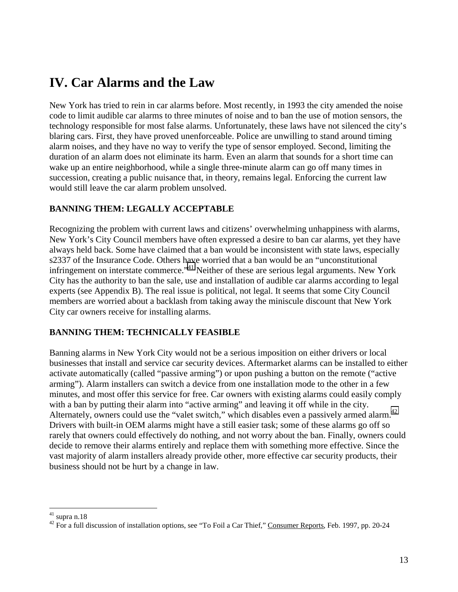### **IV. Car Alarms and the Law**

New York has tried to rein in car alarms before. Most recently, in 1993 the city amended the noise code to limit audible car alarms to three minutes of noise and to ban the use of motion sensors, the technology responsible for most false alarms. Unfortunately, these laws have not silenced the city's blaring cars. First, they have proved unenforceable. Police are unwilling to stand around timing alarm noises, and they have no way to verify the type of sensor employed. Second, limiting the duration of an alarm does not eliminate its harm. Even an alarm that sounds for a short time can wake up an entire neighborhood, while a single three-minute alarm can go off many times in succession, creating a public nuisance that, in theory, remains legal. Enforcing the current law would still leave the car alarm problem unsolved.

#### **BANNING THEM: LEGALLY ACCEPTABLE**

Recognizing the problem with current laws and citizens' overwhelming unhappiness with alarms, New York's City Council members have often expressed a desire to ban car alarms, yet they have always held back. Some have claimed that a ban would be inconsistent with state laws, especially s2337 of the Insurance Code. Others have worried that a ban would be an "unconstitutional infringement on interstate commerce."<sup>41</sup> Neither of these are serious legal arguments. New York City has the authority to ban the sale, use and installation of audible car alarms according to legal experts (see Appendix B). The real issue is political, not legal. It seems that some City Council members are worried about a backlash from taking away the miniscule discount that New York City car owners receive for installing alarms.

#### **BANNING THEM: TECHNICALLY FEASIBLE**

Banning alarms in New York City would not be a serious imposition on either drivers or local businesses that install and service car security devices. Aftermarket alarms can be installed to either activate automatically (called "passive arming") or upon pushing a button on the remote ("active arming"). Alarm installers can switch a device from one installation mode to the other in a few minutes, and most offer this service for free. Car owners with existing alarms could easily comply with a ban by putting their alarm into "active arming" and leaving it off while in the city. Alternately, owners could use the "valet switch," which disables even a passively armed alarm.<sup>42</sup> Drivers with built-in OEM alarms might have a still easier task; some of these alarms go off so rarely that owners could effectively do nothing, and not worry about the ban. Finally, owners could decide to remove their alarms entirely and replace them with something more effective. Since the vast majority of alarm installers already provide other, more effective car security products, their business should not be hurt by a change in law.

<sup>1</sup>  $41$  supra n.18

 $^{42}$  For a full discussion of installation options, see "To Foil a Car Thief," Consumer Reports, Feb. 1997, pp. 20-24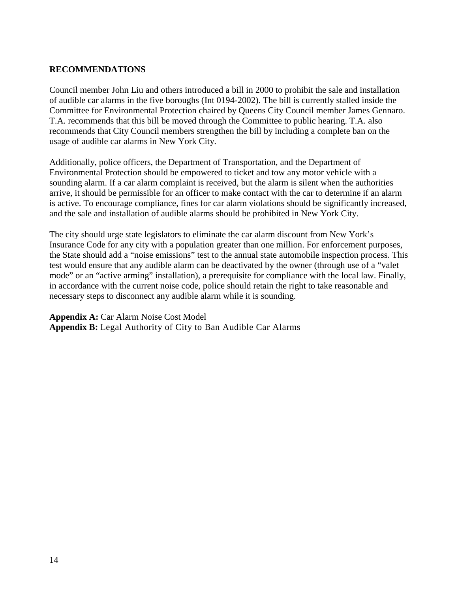#### **RECOMMENDATIONS**

Council member John Liu and others introduced a bill in 2000 to prohibit the sale and installation of audible car alarms in the five boroughs (Int 0194-2002). The bill is currently stalled inside the Committee for Environmental Protection chaired by Queens City Council member James Gennaro. T.A. recommends that this bill be moved through the Committee to public hearing. T.A. also recommends that City Council members strengthen the bill by including a complete ban on the usage of audible car alarms in New York City.

Additionally, police officers, the Department of Transportation, and the Department of Environmental Protection should be empowered to ticket and tow any motor vehicle with a sounding alarm. If a car alarm complaint is received, but the alarm is silent when the authorities arrive, it should be permissible for an officer to make contact with the car to determine if an alarm is active. To encourage compliance, fines for car alarm violations should be significantly increased, and the sale and installation of audible alarms should be prohibited in New York City.

The city should urge state legislators to eliminate the car alarm discount from New York's Insurance Code for any city with a population greater than one million. For enforcement purposes, the State should add a "noise emissions" test to the annual state automobile inspection process. This test would ensure that any audible alarm can be deactivated by the owner (through use of a "valet mode" or an "active arming" installation), a prerequisite for compliance with the local law. Finally, in accordance with the current noise code, police should retain the right to take reasonable and necessary steps to disconnect any audible alarm while it is sounding.

**Appendix A:** Car Alarm Noise Cost Model **Appendix B:** Legal Authority of City to Ban Audible Car Alarms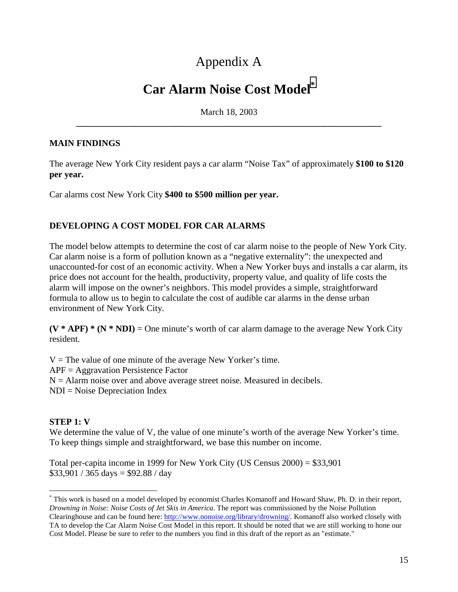# Appendix A

### **Car Alarm Noise Cost Model\***

March 18, 2003 **\_\_\_\_\_\_\_\_\_\_\_\_\_\_\_\_\_\_\_\_\_\_\_\_\_\_\_\_\_\_\_\_\_\_\_\_\_\_\_\_\_\_\_\_\_\_\_\_\_\_\_\_\_\_\_\_\_\_\_\_\_\_\_\_\_\_\_\_** 

#### **MAIN FINDINGS**

The average New York City resident pays a car alarm "Noise Tax" of approximately **\$100 to \$120 per year.** 

Car alarms cost New York City **\$400 to \$500 million per year.**

#### **DEVELOPING A COST MODEL FOR CAR ALARMS**

The model below attempts to determine the cost of car alarm noise to the people of New York City. Car alarm noise is a form of pollution known as a "negative externality": the unexpected and unaccounted-for cost of an economic activity. When a New Yorker buys and installs a car alarm, its price does not account for the health, productivity, property value, and quality of life costs the alarm will impose on the owner's neighbors. This model provides a simple, straightforward formula to allow us to begin to calculate the cost of audible car alarms in the dense urban environment of New York City.

 $(V * APF) * (N * NDI) =$ One minute's worth of car alarm damage to the average New York City resident.

 $V =$ The value of one minute of the average New Yorker's time. APF = Aggravation Persistence Factor  $N =$  Alarm noise over and above average street noise. Measured in decibels. NDI = Noise Depreciation Index

#### **STEP 1: V**

 $\overline{a}$ 

We determine the value of V, the value of one minute's worth of the average New Yorker's time. To keep things simple and straightforward, we base this number on income.

Total per-capita income in 1999 for New York City (US Census 2000) = \$33,901  $$33,901 / 365 \text{ days} = $92.88 / \text{day}$ 

<sup>\*</sup> This work is based on a model developed by economist Charles Komanoff and Howard Shaw, Ph. D. in their report, *Drowning in Noise: Noise Costs of Jet Skis in America*. The report was commissioned by the Noise Pollution Clearinghouse and can be found here: http://www.nonoise.org/library/drowning/. Komanoff also worked closely with TA to develop the Car Alarm Noise Cost Model in this report. It should be noted that we are still working to hone our Cost Model. Please be sure to refer to the numbers you find in this draft of the report as an "estimate."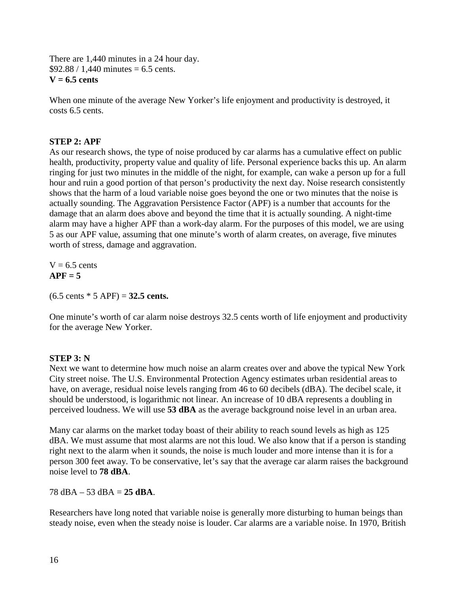There are 1,440 minutes in a 24 hour day.  $$92.88 / 1.440$  minutes = 6.5 cents. **V = 6.5 cents**

When one minute of the average New Yorker's life enjoyment and productivity is destroyed, it costs 6.5 cents.

#### **STEP 2: APF**

As our research shows, the type of noise produced by car alarms has a cumulative effect on public health, productivity, property value and quality of life. Personal experience backs this up. An alarm ringing for just two minutes in the middle of the night, for example, can wake a person up for a full hour and ruin a good portion of that person's productivity the next day. Noise research consistently shows that the harm of a loud variable noise goes beyond the one or two minutes that the noise is actually sounding. The Aggravation Persistence Factor (APF) is a number that accounts for the damage that an alarm does above and beyond the time that it is actually sounding. A night-time alarm may have a higher APF than a work-day alarm. For the purposes of this model, we are using 5 as our APF value, assuming that one minute's worth of alarm creates, on average, five minutes worth of stress, damage and aggravation.

 $V = 6.5$  cents  $APF = 5$ 

(6.5 cents \* 5 APF) = **32.5 cents.** 

One minute's worth of car alarm noise destroys 32.5 cents worth of life enjoyment and productivity for the average New Yorker.

#### **STEP 3: N**

Next we want to determine how much noise an alarm creates over and above the typical New York City street noise. The U.S. Environmental Protection Agency estimates urban residential areas to have, on average, residual noise levels ranging from 46 to 60 decibels (dBA). The decibel scale, it should be understood, is logarithmic not linear. An increase of 10 dBA represents a doubling in perceived loudness. We will use **53 dBA** as the average background noise level in an urban area.

Many car alarms on the market today boast of their ability to reach sound levels as high as 125 dBA. We must assume that most alarms are not this loud. We also know that if a person is standing right next to the alarm when it sounds, the noise is much louder and more intense than it is for a person 300 feet away. To be conservative, let's say that the average car alarm raises the background noise level to **78 dBA**.

 $78$  dBA – 53 dBA =  $25$  dBA.

Researchers have long noted that variable noise is generally more disturbing to human beings than steady noise, even when the steady noise is louder. Car alarms are a variable noise. In 1970, British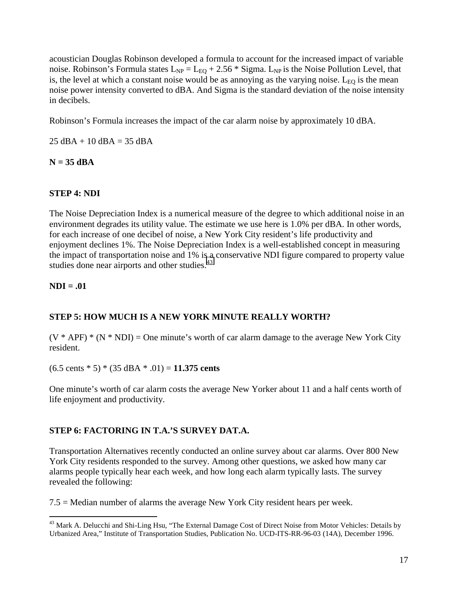acoustician Douglas Robinson developed a formula to account for the increased impact of variable noise. Robinson's Formula states  $L_{NP} = L_{EQ} + 2.56 *$  Sigma.  $L_{NP}$  is the Noise Pollution Level, that is, the level at which a constant noise would be as annoying as the varying noise.  $L_{E0}$  is the mean noise power intensity converted to dBA. And Sigma is the standard deviation of the noise intensity in decibels.

Robinson's Formula increases the impact of the car alarm noise by approximately 10 dBA.

 $25$  dBA + 10 dBA = 35 dBA

#### **N = 35 dBA**

#### **STEP 4: NDI**

The Noise Depreciation Index is a numerical measure of the degree to which additional noise in an environment degrades its utility value. The estimate we use here is 1.0% per dBA. In other words, for each increase of one decibel of noise, a New York City resident's life productivity and enjoyment declines 1%. The Noise Depreciation Index is a well-established concept in measuring the impact of transportation noise and 1% is a conservative NDI figure compared to property value studies done near airports and other studies.<sup>43</sup>

#### **NDI = .01**

#### **STEP 5: HOW MUCH IS A NEW YORK MINUTE REALLY WORTH?**

 $(V * APF) * (N * NDI) = One minute's worth of car alarm damage to the average New York City$ resident.

(6.5 cents \* 5) \* (35 dBA \* .01) = **11.375 cents**

One minute's worth of car alarm costs the average New Yorker about 11 and a half cents worth of life enjoyment and productivity.

#### **STEP 6: FACTORING IN T.A.'S SURVEY DAT.A.**

Transportation Alternatives recently conducted an online survey about car alarms. Over 800 New York City residents responded to the survey. Among other questions, we asked how many car alarms people typically hear each week, and how long each alarm typically lasts. The survey revealed the following:

7.5 = Median number of alarms the average New York City resident hears per week.

<sup>1</sup> <sup>43</sup> Mark A. Delucchi and Shi-Ling Hsu, "The External Damage Cost of Direct Noise from Motor Vehicles: Details by Urbanized Area," Institute of Transportation Studies, Publication No. UCD-ITS-RR-96-03 (14A), December 1996.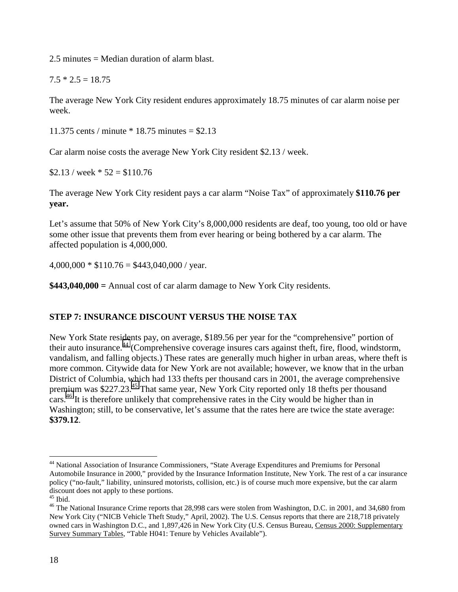2.5 minutes = Median duration of alarm blast.

 $7.5 * 2.5 = 18.75$ 

The average New York City resident endures approximately 18.75 minutes of car alarm noise per week.

11.375 cents / minute \* 18.75 minutes = \$2.13

Car alarm noise costs the average New York City resident \$2.13 / week.

 $$2.13$  / week  $*$  52 = \$110.76

The average New York City resident pays a car alarm "Noise Tax" of approximately **\$110.76 per year.** 

Let's assume that 50% of New York City's 8,000,000 residents are deaf, too young, too old or have some other issue that prevents them from ever hearing or being bothered by a car alarm. The affected population is 4,000,000.

 $4,000,000 * $110.76 = $443,040,000$  / year.

**\$443,040,000 =** Annual cost of car alarm damage to New York City residents.

#### **STEP 7: INSURANCE DISCOUNT VERSUS THE NOISE TAX**

New York State residents pay, on average, \$189.56 per year for the "comprehensive" portion of their auto insurance.44 (Comprehensive coverage insures cars against theft, fire, flood, windstorm, vandalism, and falling objects.) These rates are generally much higher in urban areas, where theft is more common. Citywide data for New York are not available; however, we know that in the urban District of Columbia, which had 133 thefts per thousand cars in 2001, the average comprehensive premium was \$227.23.45 That same year, New York City reported only 18 thefts per thousand cars.<sup>46</sup> It is therefore unlikely that comprehensive rates in the City would be higher than in Washington; still, to be conservative, let's assume that the rates here are twice the state average: **\$379.12**.

 $\overline{a}$ 

<sup>44</sup> National Association of Insurance Commissioners, "State Average Expenditures and Premiums for Personal Automobile Insurance in 2000," provided by the Insurance Information Institute, New York. The rest of a car insurance policy ("no-fault," liability, uninsured motorists, collision, etc.) is of course much more expensive, but the car alarm discount does not apply to these portions.

 $45$  Ibid.

<sup>&</sup>lt;sup>46</sup> The National Insurance Crime reports that 28,998 cars were stolen from Washington, D.C. in 2001, and 34,680 from New York City ("NICB Vehicle Theft Study," April, 2002). The U.S. Census reports that there are 218,718 privately owned cars in Washington D.C., and 1,897,426 in New York City (U.S. Census Bureau, Census 2000: Supplementary Survey Summary Tables, "Table H041: Tenure by Vehicles Available").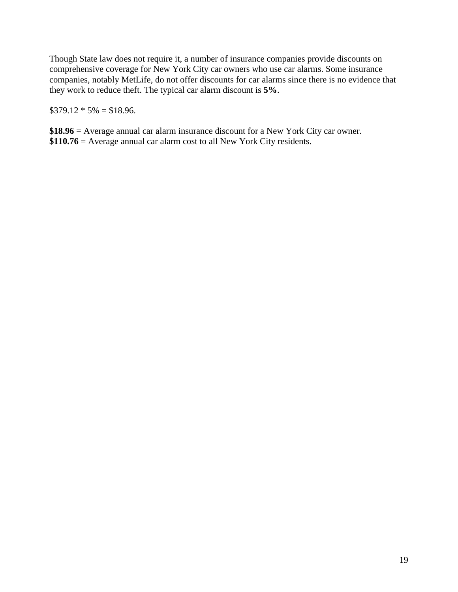Though State law does not require it, a number of insurance companies provide discounts on comprehensive coverage for New York City car owners who use car alarms. Some insurance companies, notably MetLife, do not offer discounts for car alarms since there is no evidence that they work to reduce theft. The typical car alarm discount is **5%**.

 $$379.12 * 5\% = $18.96.$ 

**\$18.96** = Average annual car alarm insurance discount for a New York City car owner. **\$110.76** = Average annual car alarm cost to all New York City residents.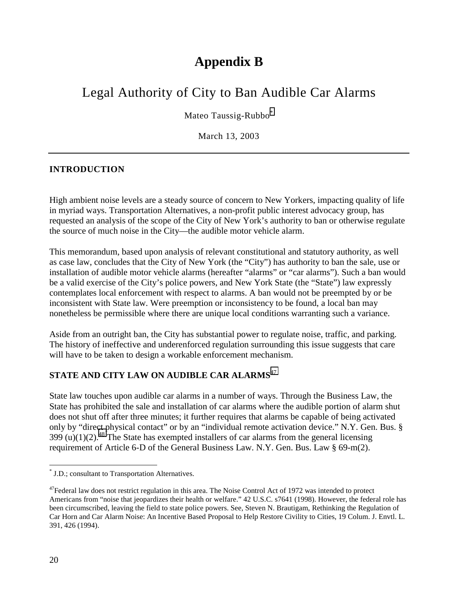### **Appendix B**

# Legal Authority of City to Ban Audible Car Alarms

Mateo Taussig-Rubbo<sup>\*</sup>

March 13, 2003

#### **INTRODUCTION**

High ambient noise levels are a steady source of concern to New Yorkers, impacting quality of life in myriad ways. Transportation Alternatives, a non-profit public interest advocacy group, has requested an analysis of the scope of the City of New York's authority to ban or otherwise regulate the source of much noise in the City—the audible motor vehicle alarm.

This memorandum, based upon analysis of relevant constitutional and statutory authority, as well as case law, concludes that the City of New York (the "City") has authority to ban the sale, use or installation of audible motor vehicle alarms (hereafter "alarms" or "car alarms"). Such a ban would be a valid exercise of the City's police powers, and New York State (the "State") law expressly contemplates local enforcement with respect to alarms. A ban would not be preempted by or be inconsistent with State law. Were preemption or inconsistency to be found, a local ban may nonetheless be permissible where there are unique local conditions warranting such a variance.

Aside from an outright ban, the City has substantial power to regulate noise, traffic, and parking. The history of ineffective and underenforced regulation surrounding this issue suggests that care will have to be taken to design a workable enforcement mechanism.

### **STATE AND CITY LAW ON AUDIBLE CAR ALARMS**<sup>47</sup>

State law touches upon audible car alarms in a number of ways. Through the Business Law, the State has prohibited the sale and installation of car alarms where the audible portion of alarm shut does not shut off after three minutes; it further requires that alarms be capable of being activated only by "direct physical contact" or by an "individual remote activation device." N.Y. Gen. Bus. § 399 (u)(1)(2).<sup>48</sup> The State has exempted installers of car alarms from the general licensing requirement of Article 6-D of the General Business Law. N.Y. Gen. Bus. Law § 69-m(2).

 \* J.D.; consultant to Transportation Alternatives.

<sup>&</sup>lt;sup>47</sup>Federal law does not restrict regulation in this area. The Noise Control Act of 1972 was intended to protect Americans from "noise that jeopardizes their health or welfare." 42 U.S.C. s7641 (1998). However, the federal role has been circumscribed, leaving the field to state police powers. See, Steven N. Brautigam, Rethinking the Regulation of Car Horn and Car Alarm Noise: An Incentive Based Proposal to Help Restore Civility to Cities, 19 Colum. J. Envtl. L. 391, 426 (1994).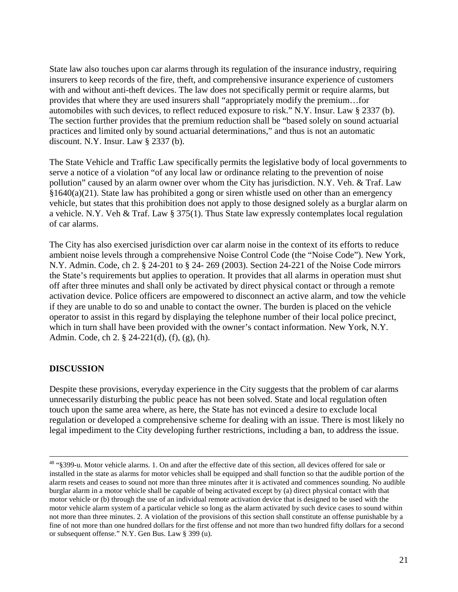State law also touches upon car alarms through its regulation of the insurance industry, requiring insurers to keep records of the fire, theft, and comprehensive insurance experience of customers with and without anti-theft devices. The law does not specifically permit or require alarms, but provides that where they are used insurers shall "appropriately modify the premium…for automobiles with such devices, to reflect reduced exposure to risk." N.Y. Insur. Law § 2337 (b). The section further provides that the premium reduction shall be "based solely on sound actuarial practices and limited only by sound actuarial determinations," and thus is not an automatic discount. N.Y. Insur. Law § 2337 (b).

The State Vehicle and Traffic Law specifically permits the legislative body of local governments to serve a notice of a violation "of any local law or ordinance relating to the prevention of noise pollution" caused by an alarm owner over whom the City has jurisdiction. N.Y. Veh. & Traf. Law §1640(a)(21). State law has prohibited a gong or siren whistle used on other than an emergency vehicle, but states that this prohibition does not apply to those designed solely as a burglar alarm on a vehicle. N.Y. Veh & Traf. Law § 375(1). Thus State law expressly contemplates local regulation of car alarms.

The City has also exercised jurisdiction over car alarm noise in the context of its efforts to reduce ambient noise levels through a comprehensive Noise Control Code (the "Noise Code"). New York, N.Y. Admin. Code, ch 2. § 24-201 to § 24- 269 (2003). Section 24-221 of the Noise Code mirrors the State's requirements but applies to operation. It provides that all alarms in operation must shut off after three minutes and shall only be activated by direct physical contact or through a remote activation device. Police officers are empowered to disconnect an active alarm, and tow the vehicle if they are unable to do so and unable to contact the owner. The burden is placed on the vehicle operator to assist in this regard by displaying the telephone number of their local police precinct, which in turn shall have been provided with the owner's contact information. New York, N.Y. Admin. Code, ch 2. § 24-221(d), (f), (g), (h).

#### **DISCUSSION**

Despite these provisions, everyday experience in the City suggests that the problem of car alarms unnecessarily disturbing the public peace has not been solved. State and local regulation often touch upon the same area where, as here, the State has not evinced a desire to exclude local regulation or developed a comprehensive scheme for dealing with an issue. There is most likely no legal impediment to the City developing further restrictions, including a ban, to address the issue.

 <sup>48 &</sup>quot;§399-u. Motor vehicle alarms. 1. On and after the effective date of this section, all devices offered for sale or installed in the state as alarms for motor vehicles shall be equipped and shall function so that the audible portion of the alarm resets and ceases to sound not more than three minutes after it is activated and commences sounding. No audible burglar alarm in a motor vehicle shall be capable of being activated except by (a) direct physical contact with that motor vehicle or (b) through the use of an individual remote activation device that is designed to be used with the motor vehicle alarm system of a particular vehicle so long as the alarm activated by such device cases to sound within not more than three minutes. 2. A violation of the provisions of this section shall constitute an offense punishable by a fine of not more than one hundred dollars for the first offense and not more than two hundred fifty dollars for a second or subsequent offense." N.Y. Gen Bus. Law § 399 (u).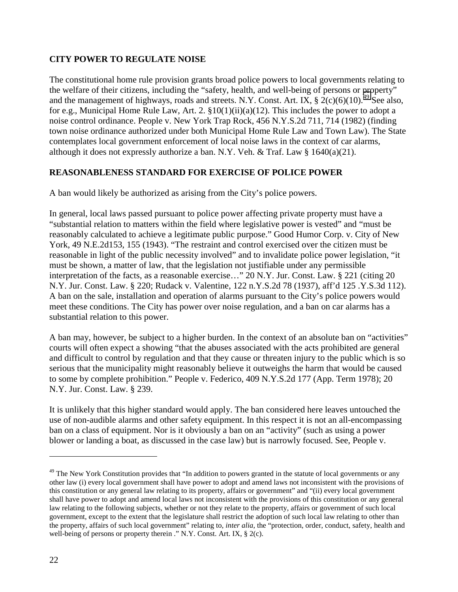#### **CITY POWER TO REGULATE NOISE**

The constitutional home rule provision grants broad police powers to local governments relating to the welfare of their citizens, including the "safety, health, and well-being of persons or property" and the management of highways, roads and streets. N.Y. Const. Art. IX,  $\frac{2}{c}(c)(6)(10)^{1/9}$  See also, for e.g., Municipal Home Rule Law, Art. 2. §10(1)(ii)(a)(12). This includes the power to adopt a noise control ordinance. People v. New York Trap Rock, 456 N.Y.S.2d 711, 714 (1982) (finding town noise ordinance authorized under both Municipal Home Rule Law and Town Law). The State contemplates local government enforcement of local noise laws in the context of car alarms, although it does not expressly authorize a ban. N.Y. Veh. & Traf. Law § 1640(a)(21).

#### **REASONABLENESS STANDARD FOR EXERCISE OF POLICE POWER**

A ban would likely be authorized as arising from the City's police powers.

In general, local laws passed pursuant to police power affecting private property must have a "substantial relation to matters within the field where legislative power is vested" and "must be reasonably calculated to achieve a legitimate public purpose." Good Humor Corp. v. City of New York, 49 N.E.2d153, 155 (1943). "The restraint and control exercised over the citizen must be reasonable in light of the public necessity involved" and to invalidate police power legislation, "it must be shown, a matter of law, that the legislation not justifiable under any permissible interpretation of the facts, as a reasonable exercise…" 20 N.Y. Jur. Const. Law. § 221 (citing 20 N.Y. Jur. Const. Law. § 220; Rudack v. Valentine, 122 n.Y.S.2d 78 (1937), aff'd 125 .Y.S.3d 112). A ban on the sale, installation and operation of alarms pursuant to the City's police powers would meet these conditions. The City has power over noise regulation, and a ban on car alarms has a substantial relation to this power.

A ban may, however, be subject to a higher burden. In the context of an absolute ban on "activities" courts will often expect a showing "that the abuses associated with the acts prohibited are general and difficult to control by regulation and that they cause or threaten injury to the public which is so serious that the municipality might reasonably believe it outweighs the harm that would be caused to some by complete prohibition." People v. Federico, 409 N.Y.S.2d 177 (App. Term 1978); 20 N.Y. Jur. Const. Law. § 239.

It is unlikely that this higher standard would apply. The ban considered here leaves untouched the use of non-audible alarms and other safety equipment. In this respect it is not an all-encompassing ban on a class of equipment. Nor is it obviously a ban on an "activity" (such as using a power blower or landing a boat, as discussed in the case law) but is narrowly focused. See, People v.

1

 $49$  The New York Constitution provides that "In addition to powers granted in the statute of local governments or any other law (i) every local government shall have power to adopt and amend laws not inconsistent with the provisions of this constitution or any general law relating to its property, affairs or government" and "(ii) every local government shall have power to adopt and amend local laws not inconsistent with the provisions of this constitution or any general law relating to the following subjects, whether or not they relate to the property, affairs or government of such local government, except to the extent that the legislature shall restrict the adoption of such local law relating to other than the property, affairs of such local government" relating to, *inter alia*, the "protection, order, conduct, safety, health and well-being of persons or property therein ." N.Y. Const. Art. IX, § 2(c).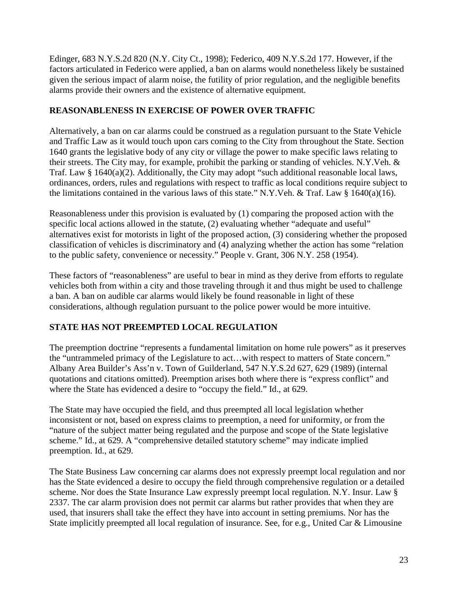Edinger, 683 N.Y.S.2d 820 (N.Y. City Ct., 1998); Federico, 409 N.Y.S.2d 177. However, if the factors articulated in Federico were applied, a ban on alarms would nonetheless likely be sustained given the serious impact of alarm noise, the futility of prior regulation, and the negligible benefits alarms provide their owners and the existence of alternative equipment.

#### **REASONABLENESS IN EXERCISE OF POWER OVER TRAFFIC**

Alternatively, a ban on car alarms could be construed as a regulation pursuant to the State Vehicle and Traffic Law as it would touch upon cars coming to the City from throughout the State. Section 1640 grants the legislative body of any city or village the power to make specific laws relating to their streets. The City may, for example, prohibit the parking or standing of vehicles. N.Y.Veh. & Traf. Law § 1640(a)(2). Additionally, the City may adopt "such additional reasonable local laws, ordinances, orders, rules and regulations with respect to traffic as local conditions require subject to the limitations contained in the various laws of this state." N.Y.Veh. & Traf. Law  $\S$  1640(a)(16).

Reasonableness under this provision is evaluated by (1) comparing the proposed action with the specific local actions allowed in the statute, (2) evaluating whether "adequate and useful" alternatives exist for motorists in light of the proposed action, (3) considering whether the proposed classification of vehicles is discriminatory and (4) analyzing whether the action has some "relation to the public safety, convenience or necessity." People v. Grant, 306 N.Y. 258 (1954).

These factors of "reasonableness" are useful to bear in mind as they derive from efforts to regulate vehicles both from within a city and those traveling through it and thus might be used to challenge a ban. A ban on audible car alarms would likely be found reasonable in light of these considerations, although regulation pursuant to the police power would be more intuitive.

#### **STATE HAS NOT PREEMPTED LOCAL REGULATION**

The preemption doctrine "represents a fundamental limitation on home rule powers" as it preserves the "untrammeled primacy of the Legislature to act…with respect to matters of State concern." Albany Area Builder's Ass'n v. Town of Guilderland, 547 N.Y.S.2d 627, 629 (1989) (internal quotations and citations omitted). Preemption arises both where there is "express conflict" and where the State has evidenced a desire to "occupy the field." Id., at 629.

The State may have occupied the field, and thus preempted all local legislation whether inconsistent or not, based on express claims to preemption, a need for uniformity, or from the "nature of the subject matter being regulated and the purpose and scope of the State legislative scheme." Id., at 629. A "comprehensive detailed statutory scheme" may indicate implied preemption. Id., at 629.

The State Business Law concerning car alarms does not expressly preempt local regulation and nor has the State evidenced a desire to occupy the field through comprehensive regulation or a detailed scheme. Nor does the State Insurance Law expressly preempt local regulation. N.Y. Insur. Law § 2337. The car alarm provision does not permit car alarms but rather provides that when they are used, that insurers shall take the effect they have into account in setting premiums. Nor has the State implicitly preempted all local regulation of insurance. See, for e.g., United Car & Limousine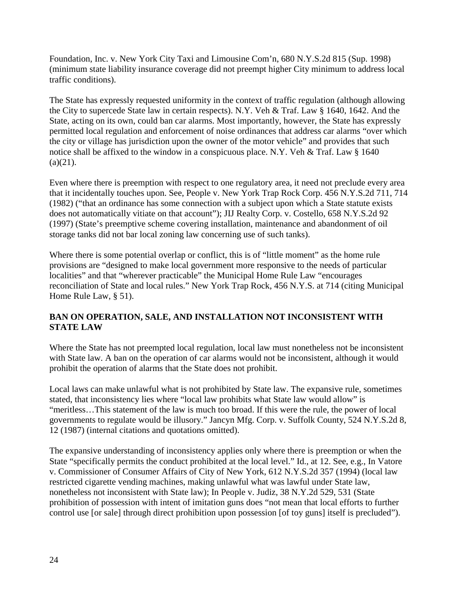Foundation, Inc. v. New York City Taxi and Limousine Com'n, 680 N.Y.S.2d 815 (Sup. 1998) (minimum state liability insurance coverage did not preempt higher City minimum to address local traffic conditions).

The State has expressly requested uniformity in the context of traffic regulation (although allowing the City to supercede State law in certain respects). N.Y. Veh & Traf. Law § 1640, 1642. And the State, acting on its own, could ban car alarms. Most importantly, however, the State has expressly permitted local regulation and enforcement of noise ordinances that address car alarms "over which the city or village has jurisdiction upon the owner of the motor vehicle" and provides that such notice shall be affixed to the window in a conspicuous place. N.Y. Veh & Traf. Law § 1640  $(a)(21)$ .

Even where there is preemption with respect to one regulatory area, it need not preclude every area that it incidentally touches upon. See, People v. New York Trap Rock Corp. 456 N.Y.S.2d 711, 714 (1982) ("that an ordinance has some connection with a subject upon which a State statute exists does not automatically vitiate on that account"); JIJ Realty Corp. v. Costello, 658 N.Y.S.2d 92 (1997) (State's preemptive scheme covering installation, maintenance and abandonment of oil storage tanks did not bar local zoning law concerning use of such tanks).

Where there is some potential overlap or conflict, this is of "little moment" as the home rule provisions are "designed to make local government more responsive to the needs of particular localities" and that "wherever practicable" the Municipal Home Rule Law "encourages reconciliation of State and local rules." New York Trap Rock, 456 N.Y.S. at 714 (citing Municipal Home Rule Law, § 51).

#### **BAN ON OPERATION, SALE, AND INSTALLATION NOT INCONSISTENT WITH STATE LAW**

Where the State has not preempted local regulation, local law must nonetheless not be inconsistent with State law. A ban on the operation of car alarms would not be inconsistent, although it would prohibit the operation of alarms that the State does not prohibit.

Local laws can make unlawful what is not prohibited by State law. The expansive rule, sometimes stated, that inconsistency lies where "local law prohibits what State law would allow" is "meritless…This statement of the law is much too broad. If this were the rule, the power of local governments to regulate would be illusory." Jancyn Mfg. Corp. v. Suffolk County, 524 N.Y.S.2d 8, 12 (1987) (internal citations and quotations omitted).

The expansive understanding of inconsistency applies only where there is preemption or when the State "specifically permits the conduct prohibited at the local level." Id., at 12. See, e.g., In Vatore v. Commissioner of Consumer Affairs of City of New York, 612 N.Y.S.2d 357 (1994) (local law restricted cigarette vending machines, making unlawful what was lawful under State law, nonetheless not inconsistent with State law); In People v. Judiz, 38 N.Y.2d 529, 531 (State prohibition of possession with intent of imitation guns does "not mean that local efforts to further control use [or sale] through direct prohibition upon possession [of toy guns] itself is precluded").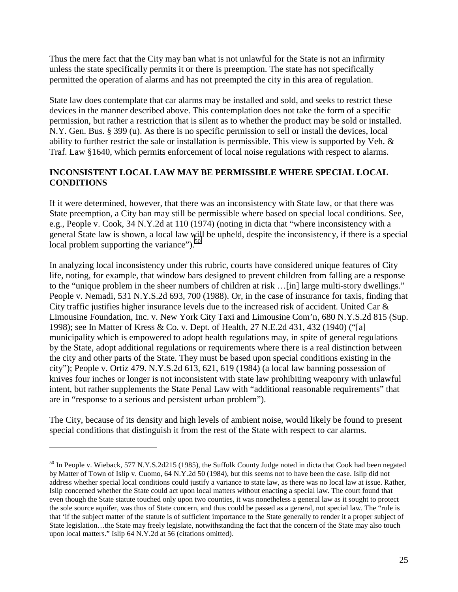Thus the mere fact that the City may ban what is not unlawful for the State is not an infirmity unless the state specifically permits it or there is preemption. The state has not specifically permitted the operation of alarms and has not preempted the city in this area of regulation.

State law does contemplate that car alarms may be installed and sold, and seeks to restrict these devices in the manner described above. This contemplation does not take the form of a specific permission, but rather a restriction that is silent as to whether the product may be sold or installed. N.Y. Gen. Bus. § 399 (u). As there is no specific permission to sell or install the devices, local ability to further restrict the sale or installation is permissible. This view is supported by Veh. & Traf. Law §1640, which permits enforcement of local noise regulations with respect to alarms.

#### **INCONSISTENT LOCAL LAW MAY BE PERMISSIBLE WHERE SPECIAL LOCAL CONDITIONS**

If it were determined, however, that there was an inconsistency with State law, or that there was State preemption, a City ban may still be permissible where based on special local conditions. See, e.g., People v. Cook, 34 N.Y.2d at 110 (1974) (noting in dicta that "where inconsistency with a general State law is shown, a local law will be upheld, despite the inconsistency, if there is a special local problem supporting the variance"). $50$ 

In analyzing local inconsistency under this rubric, courts have considered unique features of City life, noting, for example, that window bars designed to prevent children from falling are a response to the "unique problem in the sheer numbers of children at risk …[in] large multi-story dwellings." People v. Nemadi, 531 N.Y.S.2d 693, 700 (1988). Or, in the case of insurance for taxis, finding that City traffic justifies higher insurance levels due to the increased risk of accident. United Car & Limousine Foundation, Inc. v. New York City Taxi and Limousine Com'n, 680 N.Y.S.2d 815 (Sup. 1998); see In Matter of Kress & Co. v. Dept. of Health, 27 N.E.2d 431, 432 (1940) ("[a] municipality which is empowered to adopt health regulations may, in spite of general regulations by the State, adopt additional regulations or requirements where there is a real distinction between the city and other parts of the State. They must be based upon special conditions existing in the city"); People v. Ortiz 479. N.Y.S.2d 613, 621, 619 (1984) (a local law banning possession of knives four inches or longer is not inconsistent with state law prohibiting weaponry with unlawful intent, but rather supplements the State Penal Law with "additional reasonable requirements" that are in "response to a serious and persistent urban problem").

The City, because of its density and high levels of ambient noise, would likely be found to present special conditions that distinguish it from the rest of the State with respect to car alarms.

 $\overline{a}$ 

<sup>&</sup>lt;sup>50</sup> In People v. Wieback, 577 N.Y.S.2d215 (1985), the Suffolk County Judge noted in dicta that Cook had been negated by Matter of Town of Islip v. Cuomo, 64 N.Y.2d 50 (1984), but this seems not to have been the case. Islip did not address whether special local conditions could justify a variance to state law, as there was no local law at issue. Rather, Islip concerned whether the State could act upon local matters without enacting a special law. The court found that even though the State statute touched only upon two counties, it was nonetheless a general law as it sought to protect the sole source aquifer, was thus of State concern, and thus could be passed as a general, not special law. The "rule is that 'if the subject matter of the statute is of sufficient importance to the State generally to render it a proper subject of State legislation…the State may freely legislate, notwithstanding the fact that the concern of the State may also touch upon local matters." Islip 64 N.Y.2d at 56 (citations omitted).